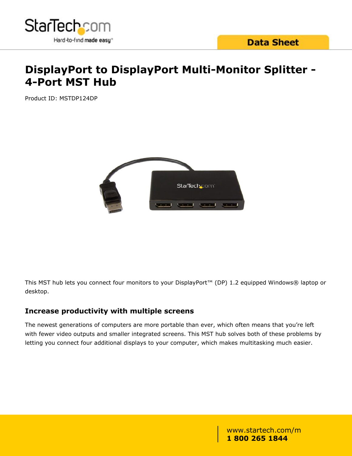

## **DisplayPort to DisplayPort Multi-Monitor Splitter - 4-Port MST Hub**

Product ID: MSTDP124DP



This MST hub lets you connect four monitors to your DisplayPort™ (DP) 1.2 equipped Windows® laptop or desktop.

## **Increase productivity with multiple screens**

The newest generations of computers are more portable than ever, which often means that you're left with fewer video outputs and smaller integrated screens. This MST hub solves both of these problems by letting you connect four additional displays to your computer, which makes multitasking much easier.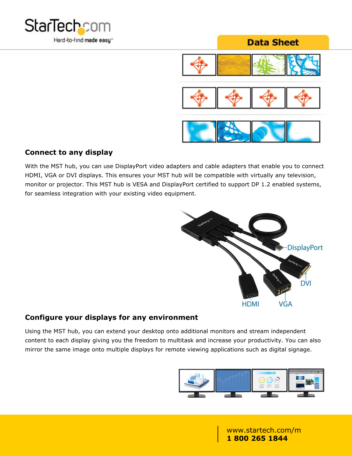



#### **Connect to any display**

With the MST hub, you can use DisplayPort video adapters and cable adapters that enable you to connect HDMI, VGA or DVI displays. This ensures your MST hub will be compatible with virtually any television, monitor or projector. This MST hub is VESA and DisplayPort certified to support DP 1.2 enabled systems, for seamless integration with your existing video equipment.



## **Configure your displays for any environment**

Using the MST hub, you can extend your desktop onto additional monitors and stream independent content to each display giving you the freedom to multitask and increase your productivity. You can also mirror the same image onto multiple displays for remote viewing applications such as digital signage.

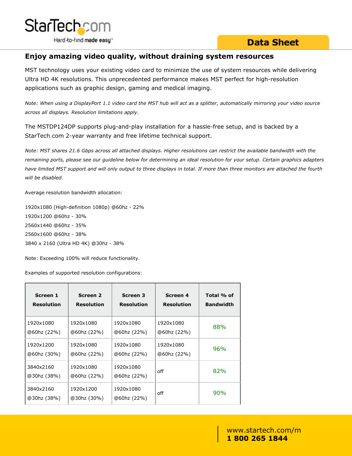

### **Enjoy amazing video quality, without draining system resources**

MST technology uses your existing video card to minimize the use of system resources while delivering Ultra HD 4K resolutions. This unprecedented performance makes MST perfect for high-resolution applications such as graphic design, gaming and medical imaging.

*Note: When using a DisplayPort 1.1 video card the MST hub will act as a splitter, automatically mirroring your video source across all displays. Resolution limitations apply.*

The MSTDP124DP supports plug-and-play installation for a hassle-free setup, and is backed by a StarTech.com 2-year warranty and free lifetime technical support.

*Note: MST shares 21.6 Gbps across all attached displays. Higher resolutions can restrict the available bandwidth with the remaining ports, please see our guideline below for determining an ideal resolution for your setup. Certain graphics adapters have limited MST support and will only output to three displays in total. If more than three monitors are attached the fourth will be disabled.*

Average resolution bandwidth allocation:

1920x1080 (High-definition 1080p) @60hz - 22% 1920x1200 @60hz - 30% 2560x1440 @60hz - 35% 2560x1600 @60hz - 38% 3840 x 2160 (Ultra HD 4K) @30hz - 38%

Note: Exceeding 100% will reduce functionality.

Examples of supported resolution configurations:

| Screen 1                 | Screen 2                 | Screen 3                 | Screen 4          | Total % of       |
|--------------------------|--------------------------|--------------------------|-------------------|------------------|
| <b>Resolution</b>        | <b>Resolution</b>        | <b>Resolution</b>        | <b>Resolution</b> | <b>Bandwidth</b> |
| 1920x1080                | 1920x1080                | 1920x1080                | 1920x1080         | 88%              |
| @60hz (22%)              | @60hz (22%)              | @60hz (22%)              | @60hz (22%)       |                  |
| 1920x1200                | 1920x1080                | 1920x1080                | 1920x1080         | 96%              |
| 060hz (30%)              | @60hz (22%)              | @60hz (22%)              | @60hz (22%)       |                  |
| 3840x2160<br>030hz (38%) | 1920x1080<br>@60hz (22%) | 1920x1080<br>@60hz (22%) | off               | 82%              |
| 3840x2160<br>030hz (38%) | 1920x1200<br>@30hz (30%) | 1920x1080<br>@60hz (22%) | off               | 90%              |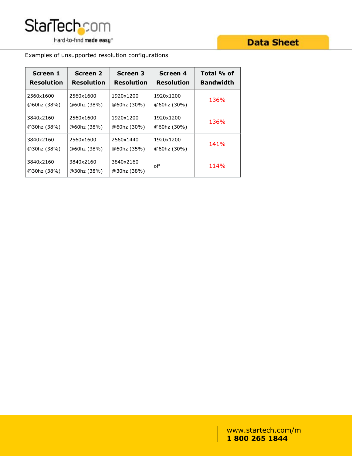

Examples of unsupported resolution configurations

| Screen 1                 | <b>Screen 2</b>          | <b>Screen 3</b>          | <b>Screen 4</b>   | Total % of       |
|--------------------------|--------------------------|--------------------------|-------------------|------------------|
| <b>Resolution</b>        | <b>Resolution</b>        | <b>Resolution</b>        | <b>Resolution</b> | <b>Bandwidth</b> |
| 2560x1600                | 2560x1600                | 1920x1200                | 1920x1200         | 136%             |
| @60hz (38%)              | @60hz (38%)              | @60hz (30%)              | @60hz (30%)       |                  |
| 3840x2160                | 2560x1600                | 1920x1200                | 1920x1200         | 136%             |
| @30hz (38%)              | @60hz (38%)              | @60hz (30%)              | @60hz (30%)       |                  |
| 3840x2160                | 2560x1600                | 2560x1440                | 1920x1200         | 141%             |
| @30hz (38%)              | @60hz (38%)              | @60hz (35%)              | @60hz (30%)       |                  |
| 3840x2160<br>@30hz (38%) | 3840x2160<br>@30hz (38%) | 3840x2160<br>@30hz (38%) | off               | 114%             |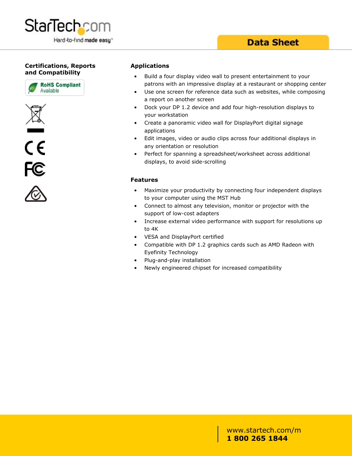

#### **Certifications, Reports and Compatibility**







#### **Applications**

- Build a four display video wall to present entertainment to your patrons with an impressive display at a restaurant or shopping center
- Use one screen for reference data such as websites, while composing a report on another screen
- Dock your DP 1.2 device and add four high-resolution displays to your workstation
- Create a panoramic video wall for DisplayPort digital signage applications
- Edit images, video or audio clips across four additional displays in any orientation or resolution
- Perfect for spanning a spreadsheet/worksheet across additional displays, to avoid side-scrolling

#### **Features**

- Maximize your productivity by connecting four independent displays to your computer using the MST Hub
- Connect to almost any television, monitor or projector with the support of low-cost adapters
- Increase external video performance with support for resolutions up to 4K
- VESA and DisplayPort certified
- Compatible with DP 1.2 graphics cards such as AMD Radeon with Eyefinity Technology
- Plug-and-play installation
- Newly engineered chipset for increased compatibility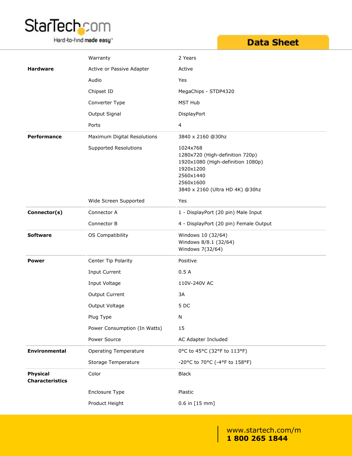# **StarTechcom**

Hard-to-find made easy<sup>®</sup>

## **Data Sheet**

|                                           | Warranty                     | 2 Years                                                                                                                                                    |
|-------------------------------------------|------------------------------|------------------------------------------------------------------------------------------------------------------------------------------------------------|
| <b>Hardware</b>                           | Active or Passive Adapter    | Active                                                                                                                                                     |
|                                           | Audio                        | Yes                                                                                                                                                        |
|                                           | Chipset ID                   | MegaChips - STDP4320                                                                                                                                       |
|                                           | Converter Type               | <b>MST Hub</b>                                                                                                                                             |
|                                           | Output Signal                | DisplayPort                                                                                                                                                |
|                                           | Ports                        | $\overline{4}$                                                                                                                                             |
| Performance                               | Maximum Digital Resolutions  | 3840 x 2160 @30hz                                                                                                                                          |
|                                           | <b>Supported Resolutions</b> | 1024x768<br>1280x720 (High-definition 720p)<br>1920x1080 (High-definition 1080p)<br>1920x1200<br>2560x1440<br>2560x1600<br>3840 x 2160 (Ultra HD 4K) @30hz |
|                                           | Wide Screen Supported        | Yes                                                                                                                                                        |
| Connector(s)                              | Connector A                  | 1 - DisplayPort (20 pin) Male Input                                                                                                                        |
|                                           | Connector B                  | 4 - DisplayPort (20 pin) Female Output                                                                                                                     |
| <b>Software</b>                           | OS Compatibility             | Windows 10 (32/64)<br>Windows 8/8.1 (32/64)<br>Windows 7(32/64)                                                                                            |
| <b>Power</b>                              | Center Tip Polarity          | Positive                                                                                                                                                   |
|                                           | Input Current                | 0.5A                                                                                                                                                       |
|                                           | Input Voltage                | 110V-240V AC                                                                                                                                               |
|                                           | Output Current               | 3A                                                                                                                                                         |
|                                           | Output Voltage               | 5DC                                                                                                                                                        |
|                                           | Plug Type                    | N                                                                                                                                                          |
|                                           | Power Consumption (In Watts) | 15                                                                                                                                                         |
|                                           | Power Source                 | AC Adapter Included                                                                                                                                        |
| Environmental                             | <b>Operating Temperature</b> | 0°C to 45°C (32°F to 113°F)                                                                                                                                |
|                                           | Storage Temperature          | -20°C to 70°C (-4°F to 158°F)                                                                                                                              |
| <b>Physical</b><br><b>Characteristics</b> | Color                        | <b>Black</b>                                                                                                                                               |
|                                           | Enclosure Type               | Plastic                                                                                                                                                    |
|                                           | Product Height               | $0.6$ in $[15$ mm]                                                                                                                                         |
|                                           |                              |                                                                                                                                                            |